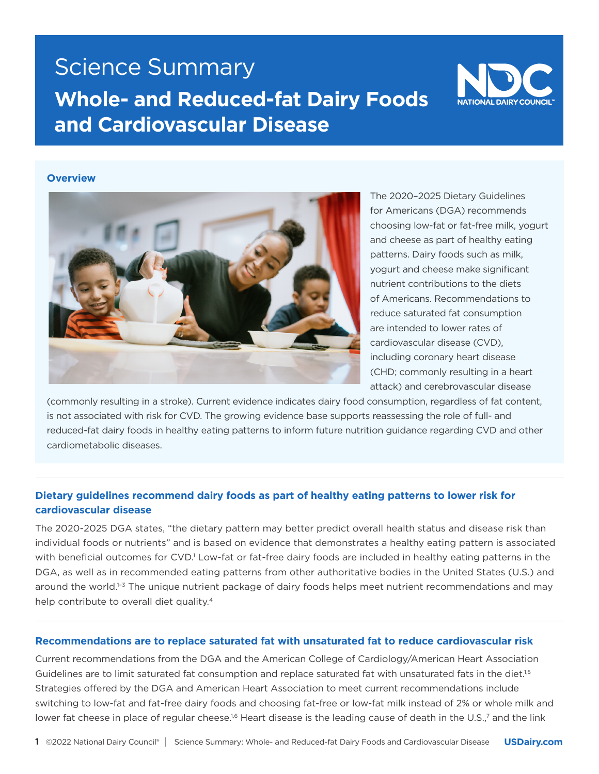# Science Summary **Whole- and Reduced-fat Dairy Foods and Cardiovascular Disease**



#### **Overview**



The 2020–2025 Dietary Guidelines for Americans (DGA) recommends choosing low-fat or fat-free milk, yogurt and cheese as part of healthy eating patterns. Dairy foods such as milk, yogurt and cheese make significant nutrient contributions to the diets of Americans. Recommendations to reduce saturated fat consumption are intended to lower rates of cardiovascular disease (CVD), including coronary heart disease (CHD; commonly resulting in a heart attack) and cerebrovascular disease

(commonly resulting in a stroke). Current evidence indicates dairy food consumption, regardless of fat content, is not associated with risk for CVD. The growing evidence base supports reassessing the role of full- and reduced-fat dairy foods in healthy eating patterns to inform future nutrition guidance regarding CVD and other cardiometabolic diseases.

## **Dietary guidelines recommend dairy foods as part of healthy eating patterns to lower risk for cardiovascular disease**

The 2020-2025 DGA states, "the dietary pattern may better predict overall health status and disease risk than individual foods or nutrients" and is based on evidence that demonstrates a healthy eating pattern is associated with beneficial outcomes for CVD.<sup>1</sup> Low-fat or fat-free dairy foods are included in healthy eating patterns in the DGA, as well as in recommended eating patterns from other authoritative bodies in the United States (U.S.) and around the world.<sup>1-3</sup> The unique nutrient package of dairy foods helps meet nutrient recommendations and may help contribute to overall diet quality.<sup>4</sup>

#### **Recommendations are to replace saturated fat with unsaturated fat to reduce cardiovascular risk**

Current recommendations from the DGA and the American College of Cardiology/American Heart Association Guidelines are to limit saturated fat consumption and replace saturated fat with unsaturated fats in the diet.<sup>1,5</sup> Strategies offered by the DGA and American Heart Association to meet current recommendations include switching to low-fat and fat-free dairy foods and choosing fat-free or low-fat milk instead of 2% or whole milk and lower fat cheese in place of regular cheese.<sup>16</sup> Heart disease is the leading cause of death in the U.S.,<sup>7</sup> and the link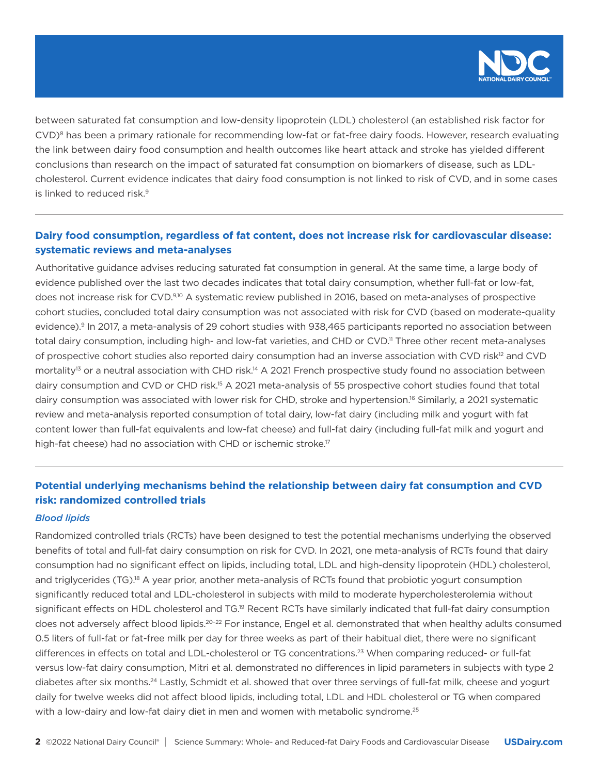

between saturated fat consumption and low-density lipoprotein (LDL) cholesterol (an established risk factor for CVD)<sup>8</sup> has been a primary rationale for recommending low-fat or fat-free dairy foods. However, research evaluating the link between dairy food consumption and health outcomes like heart attack and stroke has yielded different conclusions than research on the impact of saturated fat consumption on biomarkers of disease, such as LDLcholesterol. Current evidence indicates that dairy food consumption is not linked to risk of CVD, and in some cases is linked to reduced risk.<sup>9</sup>

## **Dairy food consumption, regardless of fat content, does not increase risk for cardiovascular disease: systematic reviews and meta-analyses**

Authoritative guidance advises reducing saturated fat consumption in general. At the same time, a large body of evidence published over the last two decades indicates that total dairy consumption, whether full-fat or low-fat, does not increase risk for CVD.<sup>9,10</sup> A systematic review published in 2016, based on meta-analyses of prospective cohort studies, concluded total dairy consumption was not associated with risk for CVD (based on moderate-quality evidence).<sup>9</sup> In 2017, a meta-analysis of 29 cohort studies with 938,465 participants reported no association between total dairy consumption, including high- and low-fat varieties, and CHD or CVD.<sup>11</sup> Three other recent meta-analyses of prospective cohort studies also reported dairy consumption had an inverse association with CVD risk<sup>12</sup> and CVD mortality<sup>13</sup> or a neutral association with CHD risk.<sup>14</sup> A 2021 French prospective study found no association between dairy consumption and CVD or CHD risk.15 A 2021 meta-analysis of 55 prospective cohort studies found that total dairy consumption was associated with lower risk for CHD, stroke and hypertension.16 Similarly, a 2021 systematic review and meta-analysis reported consumption of total dairy, low-fat dairy (including milk and yogurt with fat content lower than full-fat equivalents and low-fat cheese) and full-fat dairy (including full-fat milk and yogurt and high-fat cheese) had no association with CHD or ischemic stroke.<sup>17</sup>

## **Potential underlying mechanisms behind the relationship between dairy fat consumption and CVD risk: randomized controlled trials**

#### *Blood lipids*

Randomized controlled trials (RCTs) have been designed to test the potential mechanisms underlying the observed benefits of total and full-fat dairy consumption on risk for CVD. In 2021, one meta-analysis of RCTs found that dairy consumption had no significant effect on lipids, including total, LDL and high-density lipoprotein (HDL) cholesterol, and triglycerides (TG).<sup>18</sup> A year prior, another meta-analysis of RCTs found that probiotic yogurt consumption significantly reduced total and LDL-cholesterol in subjects with mild to moderate hypercholesterolemia without significant effects on HDL cholesterol and TG.<sup>19</sup> Recent RCTs have similarly indicated that full-fat dairy consumption does not adversely affect blood lipids.<sup>20-22</sup> For instance, Engel et al. demonstrated that when healthy adults consumed 0.5 liters of full-fat or fat-free milk per day for three weeks as part of their habitual diet, there were no significant differences in effects on total and LDL-cholesterol or TG concentrations.23 When comparing reduced- or full-fat versus low-fat dairy consumption, Mitri et al. demonstrated no differences in lipid parameters in subjects with type 2 diabetes after six months.24 Lastly, Schmidt et al. showed that over three servings of full-fat milk, cheese and yogurt daily for twelve weeks did not affect blood lipids, including total, LDL and HDL cholesterol or TG when compared with a low-dairy and low-fat dairy diet in men and women with metabolic syndrome.<sup>25</sup>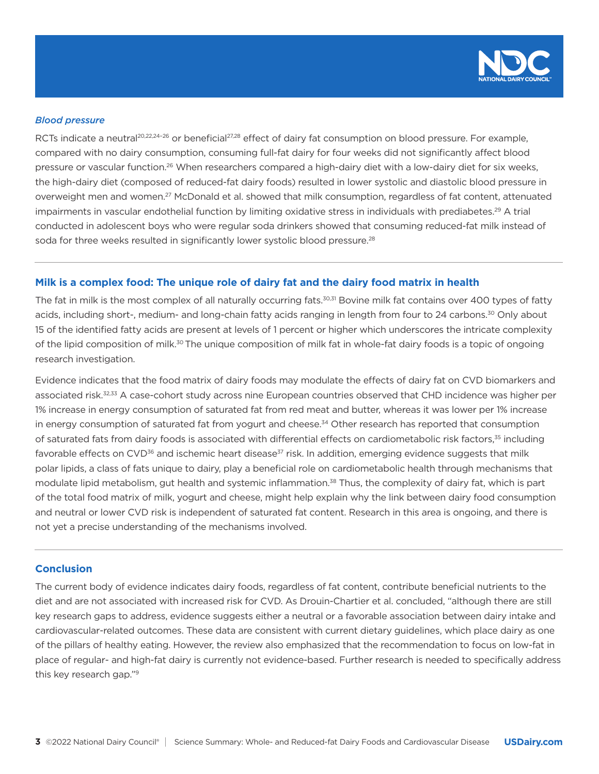

#### *Blood pressure*

RCTs indicate a neutral<sup>20,22,24-26</sup> or beneficial<sup>27,28</sup> effect of dairy fat consumption on blood pressure. For example, compared with no dairy consumption, consuming full-fat dairy for four weeks did not significantly affect blood pressure or vascular function.<sup>26</sup> When researchers compared a high-dairy diet with a low-dairy diet for six weeks, the high-dairy diet (composed of reduced-fat dairy foods) resulted in lower systolic and diastolic blood pressure in overweight men and women.27 McDonald et al. showed that milk consumption, regardless of fat content, attenuated impairments in vascular endothelial function by limiting oxidative stress in individuals with prediabetes.<sup>29</sup> A trial conducted in adolescent boys who were regular soda drinkers showed that consuming reduced-fat milk instead of soda for three weeks resulted in significantly lower systolic blood pressure.<sup>28</sup>

### **Milk is a complex food: The unique role of dairy fat and the dairy food matrix in health**

The fat in milk is the most complex of all naturally occurring fats.<sup>30,31</sup> Bovine milk fat contains over 400 types of fatty acids, including short-, medium- and long-chain fatty acids ranging in length from four to 24 carbons.30 Only about 15 of the identified fatty acids are present at levels of 1 percent or higher which underscores the intricate complexity of the lipid composition of milk.<sup>30</sup> The unique composition of milk fat in whole-fat dairy foods is a topic of ongoing research investigation.

Evidence indicates that the food matrix of dairy foods may modulate the effects of dairy fat on CVD biomarkers and associated risk.32,33 A case-cohort study across nine European countries observed that CHD incidence was higher per 1% increase in energy consumption of saturated fat from red meat and butter, whereas it was lower per 1% increase in energy consumption of saturated fat from yogurt and cheese.<sup>34</sup> Other research has reported that consumption of saturated fats from dairy foods is associated with differential effects on cardiometabolic risk factors,<sup>35</sup> including favorable effects on CVD<sup>36</sup> and ischemic heart disease<sup>37</sup> risk. In addition, emerging evidence suggests that milk polar lipids, a class of fats unique to dairy, play a beneficial role on cardiometabolic health through mechanisms that modulate lipid metabolism, gut health and systemic inflammation.<sup>38</sup> Thus, the complexity of dairy fat, which is part of the total food matrix of milk, yogurt and cheese, might help explain why the link between dairy food consumption and neutral or lower CVD risk is independent of saturated fat content. Research in this area is ongoing, and there is not yet a precise understanding of the mechanisms involved.

#### **Conclusion**

The current body of evidence indicates dairy foods, regardless of fat content, contribute beneficial nutrients to the diet and are not associated with increased risk for CVD. As Drouin-Chartier et al. concluded, "although there are still key research gaps to address, evidence suggests either a neutral or a favorable association between dairy intake and cardiovascular-related outcomes. These data are consistent with current dietary guidelines, which place dairy as one of the pillars of healthy eating. However, the review also emphasized that the recommendation to focus on low-fat in place of regular- and high-fat dairy is currently not evidence-based. Further research is needed to specifically address this key research gap."9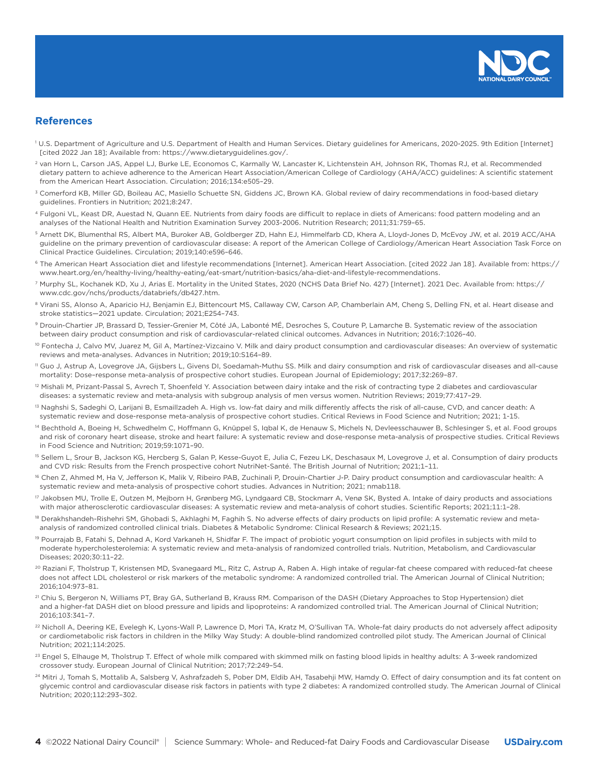

#### **References**

- U.S. Department of Agriculture and U.S. Department of Health and Human Services. Dietary guidelines for Americans, 2020-2025. 9th Edition [Internet] [cited 2022 Jan 18]; Available from: https://www.dietaryguidelines.gov/.
- 2 van Horn L, Carson JAS, Appel LJ, Burke LE, Economos C, Karmally W, Lancaster K, Lichtenstein AH, Johnson RK, Thomas RJ, et al. Recommended dietary pattern to achieve adherence to the American Heart Association/American College of Cardiology (AHA/ACC) guidelines: A scientific statement from the American Heart Association. Circulation; 2016;134:e505–29.
- <sup>3</sup> Comerford KB, Miller GD, Boileau AC, Masiello Schuette SN, Giddens JC, Brown KA. Global review of dairy recommendations in food-based dietary guidelines. Frontiers in Nutrition; 2021;8:247.
- 4 Fulgoni VL, Keast DR, Auestad N, Quann EE. Nutrients from dairy foods are difficult to replace in diets of Americans: food pattern modeling and an analyses of the National Health and Nutrition Examination Survey 2003-2006. Nutrition Research; 2011;31:759–65.
- 5 Arnett DK, Blumenthal RS, Albert MA, Buroker AB, Goldberger ZD, Hahn EJ, Himmelfarb CD, Khera A, Lloyd-Jones D, McEvoy JW, et al. 2019 ACC/AHA guideline on the primary prevention of cardiovascular disease: A report of the American College of Cardiology/American Heart Association Task Force on Clinical Practice Guidelines. Circulation; 2019;140:e596–646.
- <sup>6</sup> The American Heart Association diet and lifestyle recommendations [Internet]. American Heart Association. [cited 2022 Jan 18]. Available from: https:// www.heart.org/en/healthy-living/healthy-eating/eat-smart/nutrition-basics/aha-diet-and-lifestyle-recommendations.
- 7 Murphy SL, Kochanek KD, Xu J, Arias E. Mortality in the United States, 2020 (NCHS Data Brief No. 427) [Internet]. 2021 Dec. Available from: https:// www.cdc.gov/nchs/products/databriefs/db427.htm.
- <sup>8</sup> Virani SS, Alonso A, Aparicio HJ, Benjamin EJ, Bittencourt MS, Callaway CW, Carson AP, Chamberlain AM, Cheng S, Delling FN, et al. Heart disease and stroke statistics—2021 update. Circulation; 2021;E254–743.
- 9 Drouin-Chartier JP, Brassard D, Tessier-Grenier M, Côté JA, Labonté MÉ, Desroches S, Couture P, Lamarche B. Systematic review of the association between dairy product consumption and risk of cardiovascular-related clinical outcomes. Advances in Nutrition; 2016;7:1026–40.
- <sup>10</sup> Fontecha J, Calvo MV, Juarez M, Gil A, Martínez-Vizcaino V. Milk and dairy product consumption and cardiovascular diseases: An overview of systematic reviews and meta-analyses. Advances in Nutrition; 2019;10:S164–89.
- 11 Guo J, Astrup A, Lovegrove JA, Gijsbers L, Givens DI, Soedamah-Muthu SS. Milk and dairy consumption and risk of cardiovascular diseases and all-cause mortality: Dose–response meta-analysis of prospective cohort studies. European Journal of Epidemiology; 2017;32:269–87.
- <sup>12</sup> Mishali M, Prizant-Passal S, Avrech T, Shoenfeld Y. Association between dairy intake and the risk of contracting type 2 diabetes and cardiovascular diseases: a systematic review and meta-analysis with subgroup analysis of men versus women. Nutrition Reviews; 2019;77:417–29.
- <sup>13</sup> Naghshi S, Sadeghi O, Larijani B, Esmaillzadeh A. High vs. low-fat dairy and milk differently affects the risk of all-cause, CVD, and cancer death: A systematic review and dose-response meta-analysis of prospective cohort studies. Critical Reviews in Food Science and Nutrition; 2021; 1-15.
- <sup>14</sup> Bechthold A, Boeing H, Schwedhelm C, Hoffmann G, Knüppel S, Igbal K, de Henauw S, Michels N, Devleesschauwer B, Schlesinger S, et al. Food groups and risk of coronary heart disease, stroke and heart failure: A systematic review and dose-response meta-analysis of prospective studies. Critical Reviews in Food Science and Nutrition; 2019;59:1071–90.
- <sup>15</sup> Sellem L, Srour B, Jackson KG, Hercberg S, Galan P, Kesse-Guyot E, Julia C, Fezeu LK, Deschasaux M, Lovegrove J, et al. Consumption of dairy products and CVD risk: Results from the French prospective cohort NutriNet-Santé. The British Journal of Nutrition; 2021;1-11.
- <sup>16</sup> Chen Z, Ahmed M, Ha V, Jefferson K, Malik V, Ribeiro PAB, Zuchinali P, Drouin-Chartier J-P. Dairy product consumption and cardiovascular health: A systematic review and meta-analysis of prospective cohort studies. Advances in Nutrition; 2021; nmab118.
- 17 Jakobsen MU, Trolle E, Outzen M, Mejborn H, Grønberg MG, Lyndgaard CB, Stockmarr A, Venø SK, Bysted A. Intake of dairy products and associations with major atherosclerotic cardiovascular diseases: A systematic review and meta-analysis of cohort studies. Scientific Reports; 2021;11:1–28.
- <sup>18</sup> Derakhshandeh-Rishehri SM, Ghobadi S, Akhlaghi M, Faghih S. No adverse effects of dairy products on lipid profile: A systematic review and metaanalysis of randomized controlled clinical trials. Diabetes & Metabolic Syndrome: Clinical Research & Reviews; 2021;15.
- 19 Pourrajab B, Fatahi S, Dehnad A, Kord Varkaneh H, Shidfar F. The impact of probiotic yogurt consumption on lipid profiles in subjects with mild to moderate hypercholesterolemia: A systematic review and meta-analysis of randomized controlled trials. Nutrition, Metabolism, and Cardiovascular Diseases; 2020;30:11–22.
- <sup>20</sup> Raziani F, Tholstrup T, Kristensen MD, Svanegaard ML, Ritz C, Astrup A, Raben A. High intake of regular-fat cheese compared with reduced-fat cheese does not affect LDL cholesterol or risk markers of the metabolic syndrome: A randomized controlled trial. The American Journal of Clinical Nutrition; 2016;104:973–81.
- <sup>21</sup> Chiu S, Bergeron N, Williams PT, Bray GA, Sutherland B, Krauss RM. Comparison of the DASH (Dietary Approaches to Stop Hypertension) diet and a higher-fat DASH diet on blood pressure and lipids and lipoproteins: A randomized controlled trial. The American Journal of Clinical Nutrition; 2016;103:341–7.
- <sup>22</sup> Nicholl A, Deering KE, Evelegh K, Lyons-Wall P, Lawrence D, Mori TA, Kratz M, O'Sullivan TA. Whole-fat dairy products do not adversely affect adiposity or cardiometabolic risk factors in children in the Milky Way Study: A double-blind randomized controlled pilot study. The American Journal of Clinical Nutrition; 2021;114:2025.
- <sup>23</sup> Engel S, Elhauge M, Tholstrup T. Effect of whole milk compared with skimmed milk on fasting blood lipids in healthy adults: A 3-week randomized crossover study. European Journal of Clinical Nutrition; 2017;72:249–54.
- <sup>24</sup> Mitri J, Tomah S, Mottalib A, Salsberg V, Ashrafzadeh S, Pober DM, Eldib AH, Tasabehji MW, Hamdy O. Effect of dairy consumption and its fat content on glycemic control and cardiovascular disease risk factors in patients with type 2 diabetes: A randomized controlled study. The American Journal of Clinical Nutrition; 2020;112:293–302.